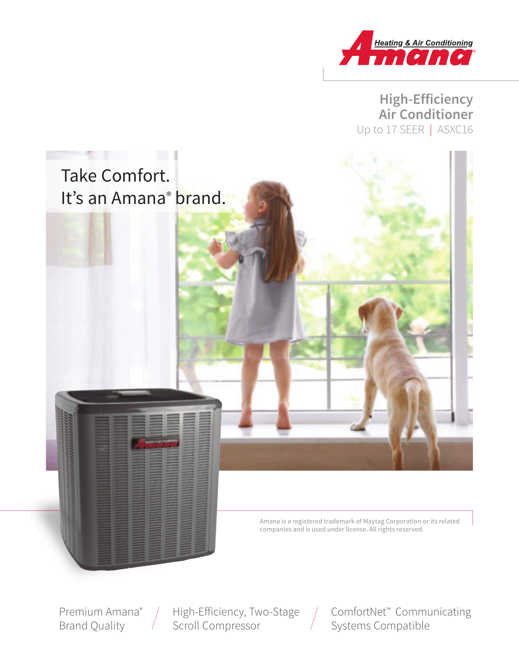

**High-Efficiency Air Conditioner** Up to 17 SEER | ASXC16



Amana is a registered trademark of Maytag Corporation or its related companies and is used under license. All rights reserved.

Premium Amana® Brand Quality

High-Efficiency, Two-Stage Scroll Compressor

ComfortNet™ Communicating Systems Compatible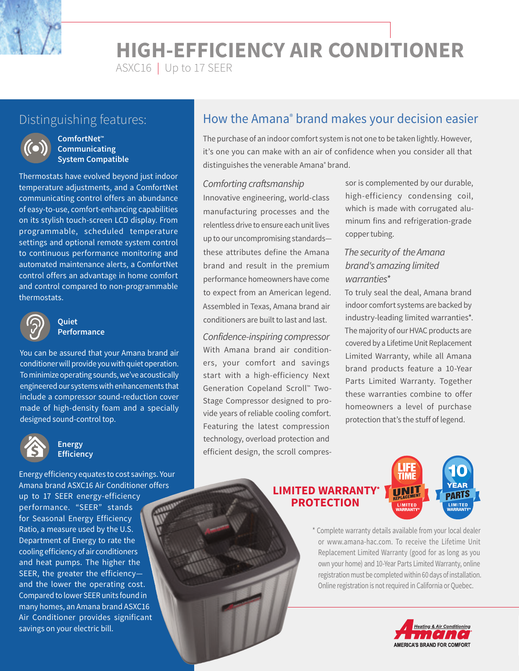**HIGH-EFFICIENCY AIR CONDITIONER**

ASXC16 | Up to 17 SEER



#### **ComfortNet™ Communicating System Compatible**

Thermostats have evolved beyond just indoor temperature adjustments, and a ComfortNet communicating control offers an abundance of easy-to-use, comfort-enhancing capabilities on its stylish touch-screen LCD display. From programmable, scheduled temperature settings and optional remote system control to continuous performance monitoring and automated maintenance alerts, a ComfortNet control offers an advantage in home comfort and control compared to non-programmable thermostats.



#### **Quiet Performance**

You can be assured that your Amana brand air conditioner will provide you with quiet operation. To minimize operating sounds, we've acoustically engineered our systems with enhancements that include a compressor sound-reduction cover made of high-density foam and a specially designed sound-control top.



#### **Energy Efficiency**

Energy efficiency equates to cost savings. Your Amana brand ASXC16 Air Conditioner offers up to 17 SEER energy-efficiency performance. "SEER" stands for Seasonal Energy Efficiency Ratio, a measure used by the U.S. Department of Energy to rate the cooling efficiency of air conditioners and heat pumps. The higher the SEER, the greater the efficiency and the lower the operating cost. Compared to lower SEER units found in many homes, an Amana brand ASXC16 Air Conditioner provides significant savings on your electric bill.

# Distinguishing features: **helticial How the Amana® brand makes your decision easier**

The purchase of an indoor comfort system is not one to be taken lightly. However, it's one you can make with an air of confidence when you consider all that distinguishes the venerable Amana<sup>®</sup> brand.

#### Comforting craftsmanship

Innovative engineering, world-class manufacturing processes and the relentless drive to ensure each unit lives up to our uncompromising standards these attributes define the Amana brand and result in the premium performance homeowners have come to expect from an American legend. Assembled in Texas, Amana brand air conditioners are built to last and last.

Confidence-inspiring compressor With Amana brand air conditioners, your comfort and savings start with a high-efficiency Next Generation Copeland Scroll™ Two-Stage Compressor designed to provide years of reliable cooling comfort. Featuring the latest compression technology, overload protection and efficient design, the scroll compres-

sor is complemented by our durable, high-efficiency condensing coil, which is made with corrugated aluminum fins and refrigeration-grade copper tubing.

#### The security of the Amana brand's amazing limited warranties\*

To truly seal the deal, Amana brand indoor comfort systems are backed by industry-leading limited warranties\*. The majority of our HVAC products are covered by a Lifetime Unit Replacement Limited Warranty, while all Amana brand products feature a 10-Year Parts Limited Warranty. Together these warranties combine to offer homeowners a level of purchase protection that's the stuff of legend.

#### **LIMITED WARRANTY\* PROTECTION**



\* Complete warranty details available from your local dealer or www.amana-hac.com. To receive the Lifetime Unit Replacement Limited Warranty (good for as long as you own your home) and 10-Year Parts Limited Warranty, online registration must be completed within 60 days of installation. Online registration is not required in California or Quebec.

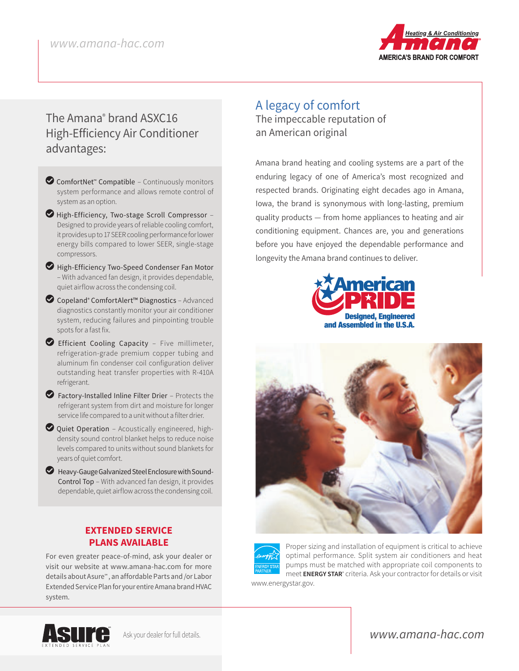

# The Amana® brand ASXC16 High-Efficiency Air Conditioner advantages:

- ComfortNet<sup>™</sup> Compatible Continuously monitors system performance and allows remote control of system as an option.
- LHigh-Efficiency, Two-stage Scroll Compressor Designed to provide years of reliable cooling comfort, it provides up to 17 SEER cooling performance for lower energy bills compared to lower SEER, single-stage compressors.
- High-Efficiency Two-Speed Condenser Fan Motor – With advanced fan design, it provides dependable, quiet airflow across the condensing coil.
- LCopeland® ComfortAlert™ Diagnostics Advanced diagnostics constantly monitor your air conditioner system, reducing failures and pinpointing trouble spots for a fast fix.
- LEfficient Cooling Capacity Five millimeter, refrigeration-grade premium copper tubing and aluminum fin condenser coil configuration deliver outstanding heat transfer properties with R-410A refrigerant.
- $\blacktriangleright$  Factory-Installed Inline Filter Drier Protects the refrigerant system from dirt and moisture for longer service life compared to a unit without a filter drier.
- $\bullet$  Quiet Operation Acoustically engineered, highdensity sound control blanket helps to reduce noise levels compared to units without sound blankets for years of quiet comfort.
- LHeavy-Gauge Galvanized Steel Enclosure with Sound-Control Top – With advanced fan design, it provides dependable, quiet airflow across the condensing coil.

#### **EXTENDED SERVICE PLANS AVAILABLE**

For even greater peace-of-mind, ask your dealer or visit our website at www.amana-hac.com for more details about Asure℠ , an affordable Parts and /or Labor Extended Service Plan for your entire Amana brand HVAC system.

## A legacy of comfort The impeccable reputation of an American original

Amana brand heating and cooling systems are a part of the enduring legacy of one of America's most recognized and respected brands. Originating eight decades ago in Amana, Iowa, the brand is synonymous with long-lasting, premium quality products — from home appliances to heating and air conditioning equipment. Chances are, you and generations before you have enjoyed the dependable performance and longevity the Amana brand continues to deliver.







Proper sizing and installation of equipment is critical to achieve optimal performance. Split system air conditioners and heat pumps must be matched with appropriate coil components to meet **ENERGY STAR**® criteria. Ask your contractor for details or visit

www.energystar.gov.



www.amana-hac.com